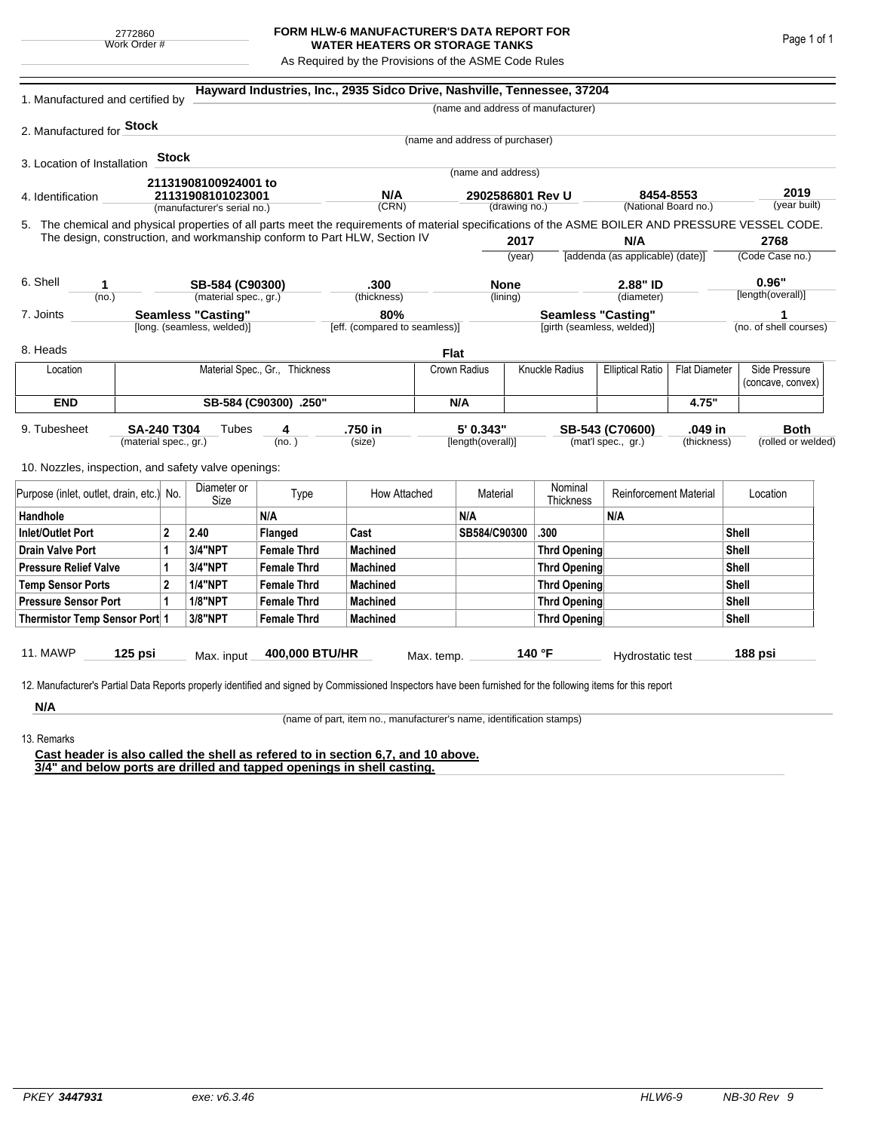## **FORM HLW-6 MANUFACTURER'S DATA REPORT FOR WATER HEATERS OR STORAGE TANKS**

As Required by the Provisions of the ASME Code Rules

| 1. Manufactured and certified by                                                                                                                                                                                                               |                                             |       |                                                  |                       | Hayward Industries, Inc., 2935 Sidco Drive, Nashville, Tennessee, 37204 |              |                                       |          |                                    |                                       |                                    |                      |                                   |
|------------------------------------------------------------------------------------------------------------------------------------------------------------------------------------------------------------------------------------------------|---------------------------------------------|-------|--------------------------------------------------|-----------------------|-------------------------------------------------------------------------|--------------|---------------------------------------|----------|------------------------------------|---------------------------------------|------------------------------------|----------------------|-----------------------------------|
|                                                                                                                                                                                                                                                |                                             |       |                                                  |                       |                                                                         |              |                                       |          | (name and address of manufacturer) |                                       |                                    |                      |                                   |
| 2. Manufactured for <b>Stock</b>                                                                                                                                                                                                               |                                             |       |                                                  |                       |                                                                         |              |                                       |          |                                    |                                       |                                    |                      |                                   |
|                                                                                                                                                                                                                                                |                                             |       |                                                  |                       |                                                                         |              | (name and address of purchaser)       |          |                                    |                                       |                                    |                      |                                   |
| 3. Location of Installation                                                                                                                                                                                                                    |                                             | Stock |                                                  |                       |                                                                         |              | (name and address)                    |          |                                    |                                       |                                    |                      |                                   |
|                                                                                                                                                                                                                                                |                                             |       | 21131908100924001 to                             |                       |                                                                         |              |                                       |          |                                    |                                       |                                    |                      |                                   |
| 4. Identification                                                                                                                                                                                                                              |                                             |       | 21131908101023001<br>(manufacturer's serial no.) |                       | N/A<br>(CRN)                                                            |              | 2902586801 Rev U<br>(drawing no.)     |          |                                    | 8454-8553<br>(National Board no.)     |                                    | 2019<br>(year built) |                                   |
|                                                                                                                                                                                                                                                |                                             |       |                                                  |                       |                                                                         |              |                                       |          |                                    |                                       |                                    |                      |                                   |
| 5. The chemical and physical properties of all parts meet the requirements of material specifications of the ASME BOILER AND PRESSURE VESSEL CODE.<br>The design, construction, and workmanship conform to Part HLW, Section IV<br>2017<br>N/A |                                             |       |                                                  |                       |                                                                         |              |                                       |          |                                    | 2768                                  |                                    |                      |                                   |
|                                                                                                                                                                                                                                                |                                             |       |                                                  |                       |                                                                         |              | (vear)                                |          |                                    | [addenda (as applicable) (date)]      |                                    | (Code Case no.)      |                                   |
| 6. Shell<br>1                                                                                                                                                                                                                                  |                                             |       | SB-584 (C90300)                                  |                       | .300                                                                    |              | <b>None</b>                           |          | 2.88" ID                           |                                       | 0.96"                              |                      |                                   |
| (no.)                                                                                                                                                                                                                                          |                                             |       | (material spec., gr.)                            |                       | (thickness)                                                             |              | (lining)                              |          |                                    | (diameter)                            |                                    | [length(overall)]    |                                   |
| 7. Joints                                                                                                                                                                                                                                      |                                             |       | <b>Seamless "Casting"</b>                        |                       | 80%                                                                     |              |                                       |          | <b>Seamless "Casting"</b>          |                                       |                                    |                      | 1                                 |
|                                                                                                                                                                                                                                                |                                             |       | [long. (seamless, welded)]                       |                       | [eff. (compared to seamless)]                                           |              |                                       |          | [girth (seamless, welded)]         |                                       |                                    |                      | (no. of shell courses)            |
| 8. Heads                                                                                                                                                                                                                                       |                                             |       |                                                  |                       |                                                                         | <b>Flat</b>  |                                       |          |                                    |                                       |                                    |                      |                                   |
| Location                                                                                                                                                                                                                                       | Material Spec., Gr., Thickness              |       |                                                  |                       |                                                                         |              | <b>Knuckle Radius</b><br>Crown Radius |          | <b>Elliptical Ratio</b>            | <b>Flat Diameter</b>                  | Side Pressure<br>(concave, convex) |                      |                                   |
| <b>END</b>                                                                                                                                                                                                                                     |                                             |       |                                                  | SB-584 (C90300) .250" |                                                                         |              | N/A                                   |          |                                    |                                       | 4.75"                              |                      |                                   |
| 9. Tubesheet<br>10. Nozzles, inspection, and safety valve openings:                                                                                                                                                                            | <b>SA-240 T304</b><br>(material spec., gr.) |       | Tubes                                            | 4<br>(no. )           | .750 in<br>(size)                                                       |              | 5' 0.343"<br>[length(overall)]        |          |                                    | SB-543 (C70600)<br>(mat'l spec., gr.) | .049 in<br>(thickness)             |                      | <b>Both</b><br>(rolled or welded) |
|                                                                                                                                                                                                                                                |                                             |       | Diameter or                                      |                       |                                                                         |              |                                       |          | Nominal                            |                                       |                                    |                      |                                   |
| Purpose (inlet, outlet, drain, etc.) No.                                                                                                                                                                                                       |                                             |       | Size                                             | Type                  |                                                                         | How Attached |                                       | Material |                                    | <b>Reinforcement Material</b>         |                                    | Location             |                                   |
| Handhole                                                                                                                                                                                                                                       |                                             |       |                                                  | N/A                   |                                                                         |              | N/A                                   |          |                                    | N/A                                   |                                    |                      |                                   |
| $\mathbf{2}$<br>Inlet/Outlet Port                                                                                                                                                                                                              |                                             |       | 2.40                                             | Flanged               | Cast                                                                    |              | SB584/C90300                          |          | .300                               |                                       |                                    | <b>Shell</b>         |                                   |
| 1<br>Drain Valve Port                                                                                                                                                                                                                          |                                             |       | 3/4"NPT                                          | <b>Female Thrd</b>    | <b>Machined</b>                                                         |              |                                       |          | <b>Thrd Opening</b>                |                                       |                                    | Shell                |                                   |
| <b>Pressure Relief Valve</b><br>1                                                                                                                                                                                                              |                                             |       | 3/4"NPT                                          | <b>Female Thrd</b>    | <b>Machined</b>                                                         |              |                                       |          | <b>Thrd Opening</b>                |                                       | Shell                              |                      |                                   |
| $\overline{2}$<br><b>Temp Sensor Ports</b>                                                                                                                                                                                                     |                                             |       | <b>1/4"NPT</b>                                   | <b>Female Thrd</b>    | <b>Machined</b>                                                         |              |                                       |          |                                    | <b>Thrd Opening</b>                   |                                    | Shell                |                                   |
| <b>Pressure Sensor Port</b><br>1                                                                                                                                                                                                               |                                             |       | <b>1/8"NPT</b>                                   | <b>Female Thrd</b>    | <b>Machined</b>                                                         |              |                                       |          | <b>Thrd Opening</b>                |                                       |                                    | Shell                |                                   |
| Thermistor Temp Sensor Port 1                                                                                                                                                                                                                  |                                             |       | 3/8"NPT                                          | <b>Female Thrd</b>    | <b>Machined</b>                                                         |              |                                       |          |                                    | <b>Thrd Opening</b>                   |                                    | Shell                |                                   |
| 11. MAWP<br>12. Manufacturer's Partial Data Reports properly identified and signed by Commissioned Inspectors have been furnished for the following items for this report                                                                      | $125$ psi                                   |       | Max. input                                       | 400,000 BTU/HR        |                                                                         | Max. temp.   |                                       |          | 140 °F                             | Hydrostatic test                      |                                    |                      | 188 psi                           |
| N/A                                                                                                                                                                                                                                            |                                             |       |                                                  |                       |                                                                         |              |                                       |          |                                    |                                       |                                    |                      |                                   |

(name of part, item no., manufacturer's name, identification stamps)

13. Remarks

**Cast header is also called the shell as refered to in section 6,7, and 10 above. 3/4" and below ports are drilled and tapped openings in shell casting.**